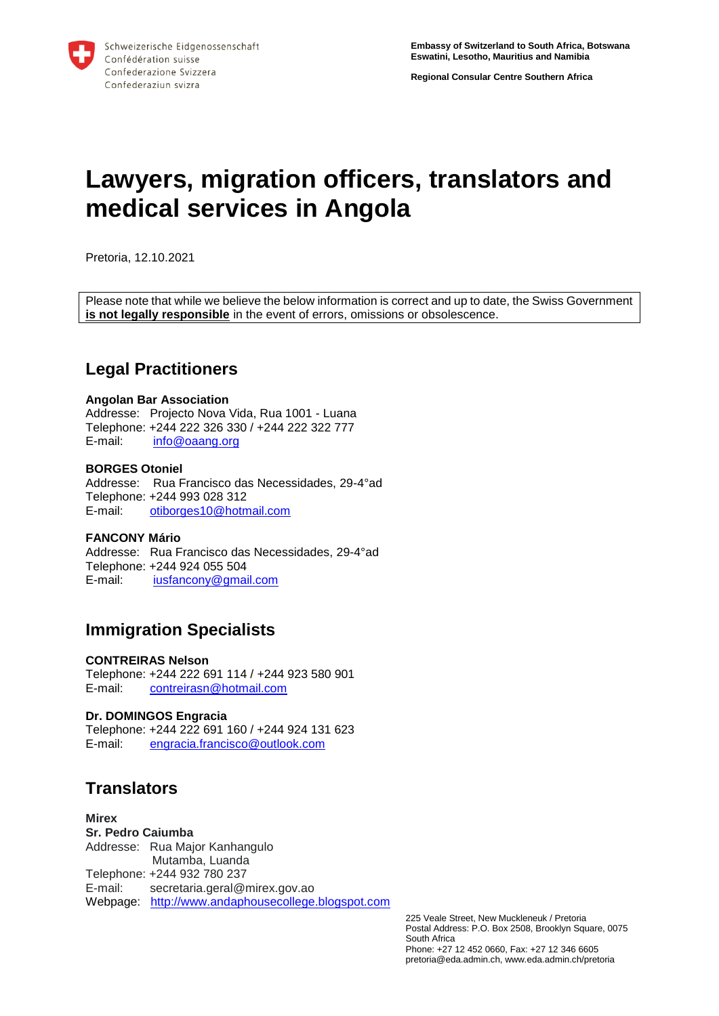**Regional Consular Centre Southern Africa**

# **Lawyers, migration officers, translators and medical services in Angola**

Pretoria, 12.10.2021

Please note that while we believe the below information is correct and up to date, the Swiss Government **is not legally responsible** in the event of errors, omissions or obsolescence.

## **Legal Practitioners**

#### **Angolan Bar Association**

Addresse: Projecto Nova Vida, Rua 1001 - Luana Telephone: +244 222 326 330 / +244 222 322 777<br>E-mail: info@oaang.org [info@oaang.org](mailto:info@oaang.org)

#### **BORGES Otoniel**

Addresse: Rua Francisco das Necessidades, 29-4°ad Telephone: +244 993 028 312 E-mail: [otiborges10@hotmail.com](mailto:otiborges10@hotmail.com)

#### **FANCONY Mário**

Addresse: Rua Francisco das Necessidades, 29-4°ad Telephone: +244 924 055 504 E-mail: [iusfancony@gmail.com](mailto:iusfancony@gmail.com)

## **Immigration Specialists**

#### **CONTREIRAS Nelson**

Telephone: +244 222 691 114 / +244 923 580 901 E-mail: [contreirasn@hotmail.com](mailto:contreirasn@hotmail.com)

#### **Dr. DOMINGOS Engracia**

Telephone: +244 222 691 160 / +244 924 131 623 E-mail: [engracia.francisco@outlook.com](mailto:engracia.francisco@outlook.com)

# **Translators**

#### **Mirex**

**Sr. Pedro Caiumba** Addresse: Rua Major Kanhangulo Mutamba, Luanda Telephone: +244 932 780 237 E-mail: secretaria.geral@mirex.gov.ao Webpage: [http://www.andaphousecollege.blogspot.com](http://www.andaphousecollege.blogspot.com/)